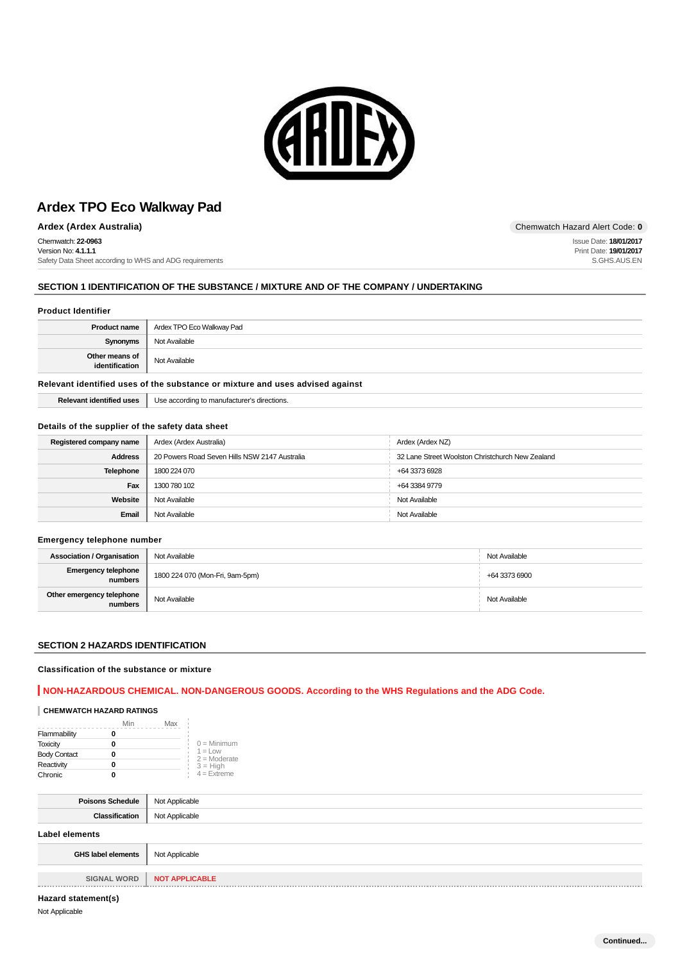

**Ardex (Ardex Australia)** Chemwatch Hazard Alert Code: **0**

Chemwatch: **22-0963** Version No: **4.1.1.1** Safety Data Sheet according to WHS and ADG requirements

# **SECTION 1 IDENTIFICATION OF THE SUBSTANCE / MIXTURE AND OF THE COMPANY / UNDERTAKING**

### **Product Identifier**

| Product name                     | Ardex TPO Eco Walkway Pad |
|----------------------------------|---------------------------|
| Synonyms                         | Not Available             |
| Other means of<br>identification | Not Available             |

## **Relevant identified uses of the substance or mixture and uses advised against**

**Relevant identified uses** Use according to manufacturer's directions.

### **Details of the supplier of the safety data sheet**

| Registered company name | Ardex (Ardex Australia)                       | Ardex (Ardex NZ)                                 |
|-------------------------|-----------------------------------------------|--------------------------------------------------|
| <b>Address</b>          | 20 Powers Road Seven Hills NSW 2147 Australia | 32 Lane Street Woolston Christchurch New Zealand |
| <b>Telephone</b>        | 1800 224 070                                  | +64 3373 6928                                    |
| Fax                     | 1300 780 102                                  | +64 3384 9779                                    |
| Website                 | Not Available                                 | Not Available                                    |
| Email                   | Not Available                                 | Not Available                                    |

#### **Emergency telephone number**

| <b>Association / Organisation</b>    | Not Available                   | Not Available |
|--------------------------------------|---------------------------------|---------------|
| Emergency telephone<br>numbers       | 1800 224 070 (Mon-Fri, 9am-5pm) | +64 3373 6900 |
| Other emergency telephone<br>numbers | Not Available                   | Not Available |

## **SECTION 2 HAZARDS IDENTIFICATION**

### **Classification of the substance or mixture**

## **NON-HAZARDOUS CHEMICAL. NON-DANGEROUS GOODS. According to the WHS Regulations and the ADG Code.**

## **CHEMWATCH HAZARD RATINGS**

|                     | Min | Max |                              |
|---------------------|-----|-----|------------------------------|
| Flammability        |     |     |                              |
| <b>Toxicity</b>     |     |     | $0 =$ Minimum                |
| <b>Body Contact</b> |     |     | $1 = 1$ ow<br>$2 =$ Moderate |
| Reactivity          |     |     | $3 = High$                   |
| Chronic             |     |     | $4$ = Extreme                |

| <b>Poisons Schedule</b>   | Not Applicable        |
|---------------------------|-----------------------|
| Classification            | Not Applicable        |
| Label elements            |                       |
| <b>GHS label elements</b> | Not Applicable        |
|                           |                       |
| <b>SIGNAL WORD</b>        | <b>NOT APPLICABLE</b> |

Issue Date: **18/01/2017** Print Date: **19/01/2017** S.GHS.AUS.EN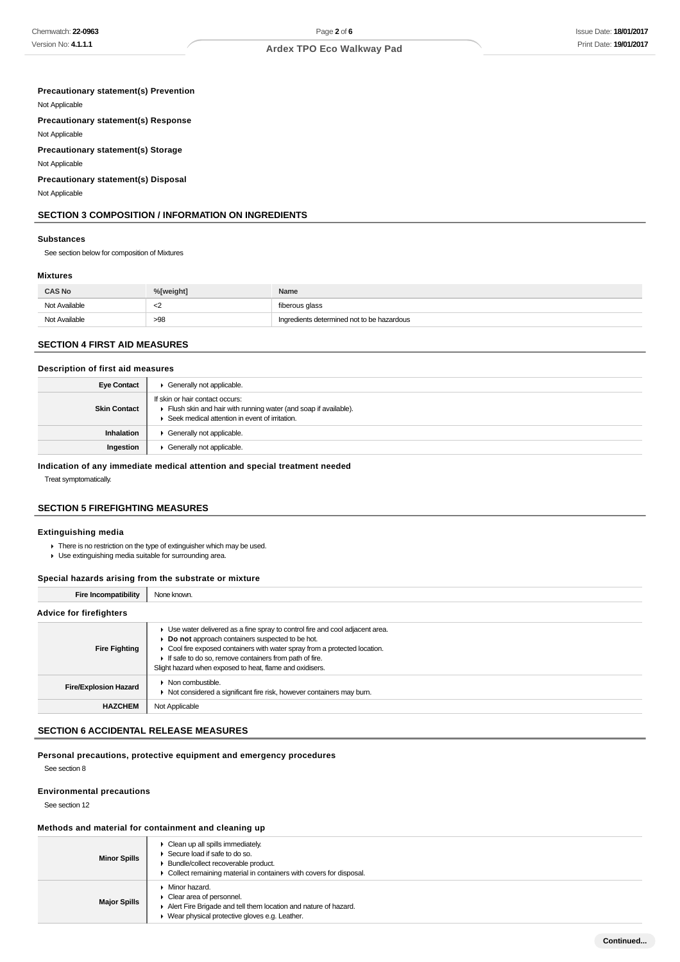### **Precautionary statement(s) Prevention**

Not Applicable

**Precautionary statement(s) Response**

Not Applicable **Precautionary statement(s) Storage**

Not Applicable

**Precautionary statement(s) Disposal**

Not Applicable

## **SECTION 3 COMPOSITION / INFORMATION ON INGREDIENTS**

#### **Substances**

See section below for composition of Mixtures

# **Mixtures**

| <b>CAS No</b> | %[weight]  | Name                                       |
|---------------|------------|--------------------------------------------|
| Not Available | $\epsilon$ | fiberous glass                             |
| Not Available | >98        | Ingredients determined not to be hazardous |

# **SECTION 4 FIRST AID MEASURES**

### **Description of first aid measures**

| <b>Eye Contact</b>  | Generally not applicable.                                                                                                                            |
|---------------------|------------------------------------------------------------------------------------------------------------------------------------------------------|
| <b>Skin Contact</b> | If skin or hair contact occurs:<br>Flush skin and hair with running water (and soap if available).<br>Seek medical attention in event of irritation. |
| Inhalation          | Generally not applicable.                                                                                                                            |
| Ingestion           | Generally not applicable.                                                                                                                            |

**Indication of any immediate medical attention and special treatment needed**

Treat symptomatically.

# **SECTION 5 FIREFIGHTING MEASURES**

### **Extinguishing media**

There is no restriction on the type of extinguisher which may be used. Use extinguishing media suitable for surrounding area.

## **Special hazards arising from the substrate or mixture**

**Fire Incompatibility** None known.

| <b>Advice for firefighters</b> |                                                                                                                                                                                                                                                                                                                                      |
|--------------------------------|--------------------------------------------------------------------------------------------------------------------------------------------------------------------------------------------------------------------------------------------------------------------------------------------------------------------------------------|
| <b>Fire Fighting</b>           | ► Use water delivered as a fine spray to control fire and cool adjacent area.<br>Do not approach containers suspected to be hot.<br>• Cool fire exposed containers with water spray from a protected location.<br>If safe to do so, remove containers from path of fire.<br>Slight hazard when exposed to heat, flame and oxidisers. |
| <b>Fire/Explosion Hazard</b>   | $\triangleright$ Non combustible.<br>▶ Not considered a significant fire risk, however containers may burn.                                                                                                                                                                                                                          |
| <b>HAZCHEM</b>                 | Not Applicable                                                                                                                                                                                                                                                                                                                       |

## **SECTION 6 ACCIDENTAL RELEASE MEASURES**

### **Personal precautions, protective equipment and emergency procedures**

See section 8

### **Environmental precautions**

See section 12

#### **Methods and material for containment and cleaning up**

| <b>Minor Spills</b> | $\triangleright$ Clean up all spills immediately.<br>Secure load if safe to do so.<br>• Bundle/collect recoverable product.<br>• Collect remaining material in containers with covers for disposal. |
|---------------------|-----------------------------------------------------------------------------------------------------------------------------------------------------------------------------------------------------|
| <b>Major Spills</b> | • Minor hazard.<br>$\triangleright$ Clear area of personnel.<br>Alert Fire Brigade and tell them location and nature of hazard.<br>▶ Wear physical protective gloves e.g. Leather.                  |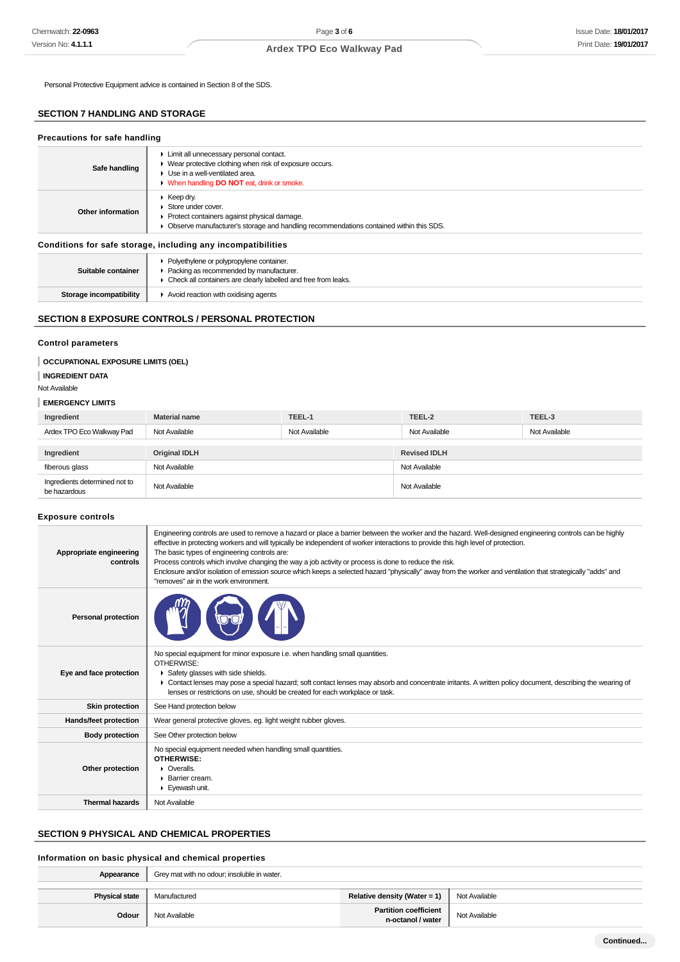Personal Protective Equipment advice is contained in Section 8 of the SDS.

## **SECTION 7 HANDLING AND STORAGE**

| Precautions for safe handling                                |                                                                                                                                                                                                                   |  |  |
|--------------------------------------------------------------|-------------------------------------------------------------------------------------------------------------------------------------------------------------------------------------------------------------------|--|--|
| Safe handling                                                | Limit all unnecessary personal contact.<br>▶ Wear protective clothing when risk of exposure occurs.<br>$\blacktriangleright$ Use in a well-ventilated area.<br>• When handling <b>DO NOT</b> eat, drink or smoke. |  |  |
| Other information                                            | $\blacktriangleright$ Keep dry.<br>Store under cover.<br>▶ Protect containers against physical damage.<br>• Observe manufacturer's storage and handling recommendations contained within this SDS.                |  |  |
| Conditions for safe storage, including any incompatibilities |                                                                                                                                                                                                                   |  |  |
| Suitable container                                           | • Polyethylene or polypropylene container.<br>• Packing as recommended by manufacturer.<br>• Check all containers are clearly labelled and free from leaks.                                                       |  |  |
| Storage incompatibility                                      | $\blacktriangleright$ Avoid reaction with oxidising agents                                                                                                                                                        |  |  |

# **SECTION 8 EXPOSURE CONTROLS / PERSONAL PROTECTION**

## **Control parameters**

### **OCCUPATIONAL EXPOSURE LIMITS (OEL)**

### **INGREDIENT DATA**

### Not Available

### **EMERGENCY LIMITS**

| Ingredient                                    | <b>Material name</b> | TEEL-1        | TEEL-2              | TEEL-3        |
|-----------------------------------------------|----------------------|---------------|---------------------|---------------|
| Ardex TPO Eco Walkway Pad                     | Not Available        | Not Available | Not Available       | Not Available |
|                                               |                      |               |                     |               |
| Ingredient                                    | <b>Original IDLH</b> |               | <b>Revised IDLH</b> |               |
| fiberous glass                                | Not Available        |               | Not Available       |               |
| Ingredients determined not to<br>be hazardous | Not Available        |               | Not Available       |               |

### **Exposure controls**

| Appropriate engineering<br>controls | Engineering controls are used to remove a hazard or place a barrier between the worker and the hazard. Well-designed engineering controls can be highly<br>effective in protecting workers and will typically be independent of worker interactions to provide this high level of protection.<br>The basic types of engineering controls are:<br>Process controls which involve changing the way a job activity or process is done to reduce the risk.<br>Enclosure and/or isolation of emission source which keeps a selected hazard "physically" away from the worker and ventilation that strategically "adds" and<br>"removes" air in the work environment. |
|-------------------------------------|-----------------------------------------------------------------------------------------------------------------------------------------------------------------------------------------------------------------------------------------------------------------------------------------------------------------------------------------------------------------------------------------------------------------------------------------------------------------------------------------------------------------------------------------------------------------------------------------------------------------------------------------------------------------|
| <b>Personal protection</b>          |                                                                                                                                                                                                                                                                                                                                                                                                                                                                                                                                                                                                                                                                 |
| Eye and face protection             | No special equipment for minor exposure i.e. when handling small quantities.<br>OTHERWISE:<br>Safety glasses with side shields.<br>► Contact lenses may pose a special hazard; soft contact lenses may absorb and concentrate irritants. A written policy document, describing the wearing of<br>lenses or restrictions on use, should be created for each workplace or task.                                                                                                                                                                                                                                                                                   |
| <b>Skin protection</b>              | See Hand protection below                                                                                                                                                                                                                                                                                                                                                                                                                                                                                                                                                                                                                                       |
| Hands/feet protection               | Wear general protective gloves, eg. light weight rubber gloves.                                                                                                                                                                                                                                                                                                                                                                                                                                                                                                                                                                                                 |
| <b>Body protection</b>              | See Other protection below                                                                                                                                                                                                                                                                                                                                                                                                                                                                                                                                                                                                                                      |
| Other protection                    | No special equipment needed when handling small quantities.<br><b>OTHERWISE:</b><br>$\triangleright$ Overalls.<br>$\blacktriangleright$ Barrier cream.<br>Eyewash unit.                                                                                                                                                                                                                                                                                                                                                                                                                                                                                         |
| <b>Thermal hazards</b>              | Not Available                                                                                                                                                                                                                                                                                                                                                                                                                                                                                                                                                                                                                                                   |

## **SECTION 9 PHYSICAL AND CHEMICAL PROPERTIES**

### **Information on basic physical and chemical properties**

| Appearance            | Grey mat with no odour; insoluble in water. |                                                   |               |
|-----------------------|---------------------------------------------|---------------------------------------------------|---------------|
| <b>Physical state</b> | Manufactured                                | Relative density (Water = 1)                      | Not Available |
| Odour                 | Not Available                               | <b>Partition coefficient</b><br>n-octanol / water | Not Available |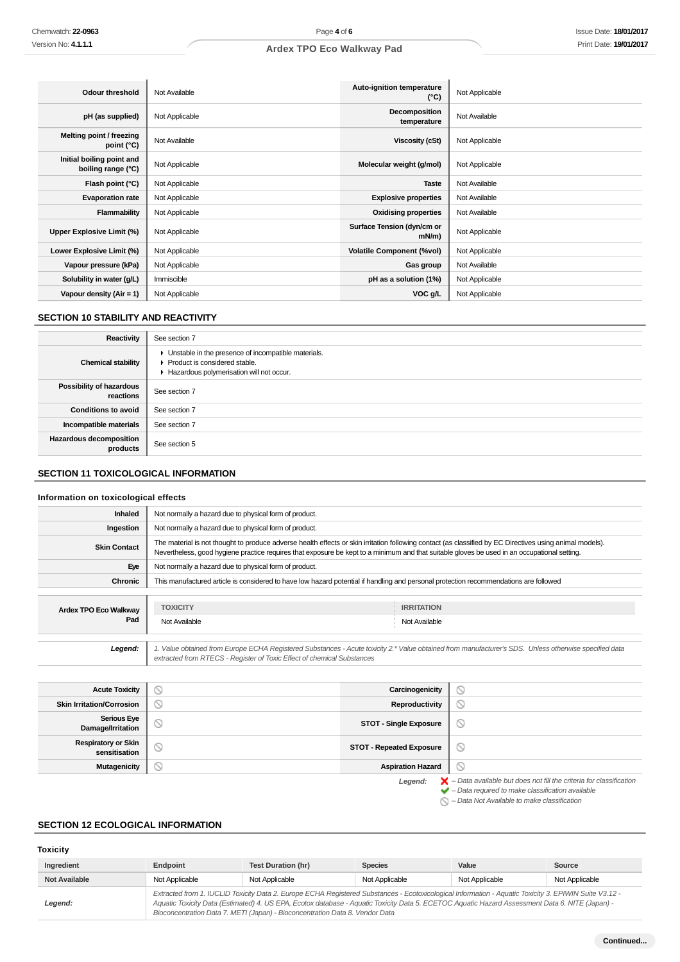| <b>Odour threshold</b>                          | Not Available  | Auto-ignition temperature<br>$(^{\circ}C)$ | Not Applicable |
|-------------------------------------------------|----------------|--------------------------------------------|----------------|
| pH (as supplied)                                | Not Applicable | Decomposition<br>temperature               | Not Available  |
| Melting point / freezing<br>point (°C)          | Not Available  | <b>Viscosity (cSt)</b>                     | Not Applicable |
| Initial boiling point and<br>boiling range (°C) | Not Applicable | Molecular weight (g/mol)                   | Not Applicable |
| Flash point (°C)                                | Not Applicable | <b>Taste</b>                               | Not Available  |
| <b>Evaporation rate</b>                         | Not Applicable | <b>Explosive properties</b>                | Not Available  |
| Flammability                                    | Not Applicable | <b>Oxidising properties</b>                | Not Available  |
| Upper Explosive Limit (%)                       | Not Applicable | Surface Tension (dyn/cm or<br>$mN/m$ )     | Not Applicable |
| Lower Explosive Limit (%)                       | Not Applicable | <b>Volatile Component (%vol)</b>           | Not Applicable |
| Vapour pressure (kPa)                           | Not Applicable | Gas group                                  | Not Available  |
| Solubility in water (g/L)                       | Immiscible     | pH as a solution (1%)                      | Not Applicable |
| Vapour density (Air = 1)                        | Not Applicable | VOC g/L                                    | Not Applicable |

## **SECTION 10 STABILITY AND REACTIVITY**

| Reactivity                                 | See section 7                                                                                                                      |
|--------------------------------------------|------------------------------------------------------------------------------------------------------------------------------------|
| <b>Chemical stability</b>                  | Unstable in the presence of incompatible materials.<br>▶ Product is considered stable.<br>Hazardous polymerisation will not occur. |
| Possibility of hazardous<br>reactions      | See section 7                                                                                                                      |
| <b>Conditions to avoid</b>                 | See section 7                                                                                                                      |
| Incompatible materials                     | See section 7                                                                                                                      |
| <b>Hazardous decomposition</b><br>products | See section 5                                                                                                                      |

# **SECTION 11 TOXICOLOGICAL INFORMATION**

## **Information on toxicological effects**

| <b>Inhaled</b>        | Not normally a hazard due to physical form of product.                                                                                                                                                                                                                                                   |                                                                                                                                                       |  |
|-----------------------|----------------------------------------------------------------------------------------------------------------------------------------------------------------------------------------------------------------------------------------------------------------------------------------------------------|-------------------------------------------------------------------------------------------------------------------------------------------------------|--|
| Ingestion             | Not normally a hazard due to physical form of product.                                                                                                                                                                                                                                                   |                                                                                                                                                       |  |
| <b>Skin Contact</b>   | The material is not thought to produce adverse health effects or skin irritation following contact (as classified by EC Directives using animal models).<br>Nevertheless, good hygiene practice requires that exposure be kept to a minimum and that suitable gloves be used in an occupational setting. |                                                                                                                                                       |  |
| Eye                   | Not normally a hazard due to physical form of product.                                                                                                                                                                                                                                                   |                                                                                                                                                       |  |
| <b>Chronic</b>        | This manufactured article is considered to have low hazard potential if handling and personal protection recommendations are followed                                                                                                                                                                    |                                                                                                                                                       |  |
|                       |                                                                                                                                                                                                                                                                                                          |                                                                                                                                                       |  |
| Ardex TPO Eco Walkway | <b>TOXICITY</b>                                                                                                                                                                                                                                                                                          | <b>IRRITATION</b>                                                                                                                                     |  |
| Pad                   | Not Available                                                                                                                                                                                                                                                                                            | Not Available                                                                                                                                         |  |
|                       |                                                                                                                                                                                                                                                                                                          |                                                                                                                                                       |  |
| Legend:               | extracted from RTECS - Register of Toxic Effect of chemical Substances                                                                                                                                                                                                                                   | 1. Value obtained from Europe ECHA Registered Substances - Acute toxicity 2.* Value obtained from manufacturer's SDS. Unless otherwise specified data |  |
|                       |                                                                                                                                                                                                                                                                                                          |                                                                                                                                                       |  |

| <b>Acute Toxicity</b>                       | Y | Carcinogenicity                 | $\odot$                                                                                                                                                            |
|---------------------------------------------|---|---------------------------------|--------------------------------------------------------------------------------------------------------------------------------------------------------------------|
| <b>Skin Irritation/Corrosion</b>            | ◡ | Reproductivity                  | $\odot$                                                                                                                                                            |
| <b>Serious Eye</b><br>Damage/Irritation     | S | <b>STOT - Single Exposure</b>   | $\circ$                                                                                                                                                            |
| <b>Respiratory or Skin</b><br>sensitisation | O | <b>STOT - Repeated Exposure</b> | $\circ$                                                                                                                                                            |
| Mutagenicity                                | S | <b>Aspiration Hazard</b>        | Ø                                                                                                                                                                  |
|                                             |   | Legend:                         | $\blacktriangleright$ - Data available but does not fill the criteria for classification<br>$\blacktriangleright$ - Data required to make classification available |

### $\bigcirc$  – Data Not Available to make classification

## **SECTION 12 ECOLOGICAL INFORMATION**

## **Toxicity**

| Ingredient           | Endpoint       | <b>Test Duration (hr)</b>                                                                                                                                                                                                                                                                                                                                                                | <b>Species</b> | Value          | Source         |
|----------------------|----------------|------------------------------------------------------------------------------------------------------------------------------------------------------------------------------------------------------------------------------------------------------------------------------------------------------------------------------------------------------------------------------------------|----------------|----------------|----------------|
| <b>Not Available</b> | Not Applicable | Not Applicable                                                                                                                                                                                                                                                                                                                                                                           | Not Applicable | Not Applicable | Not Applicable |
| Legend:              |                | Extracted from 1. IUCLID Toxicity Data 2. Europe ECHA Registered Substances - Ecotoxicological Information - Aquatic Toxicity 3. EPIWIN Suite V3.12 -<br>Aquatic Toxicity Data (Estimated) 4. US EPA, Ecotox database - Aquatic Toxicity Data 5. ECETOC Aquatic Hazard Assessment Data 6. NITE (Japan) -<br>Bioconcentration Data 7. METI (Japan) - Bioconcentration Data 8. Vendor Data |                |                |                |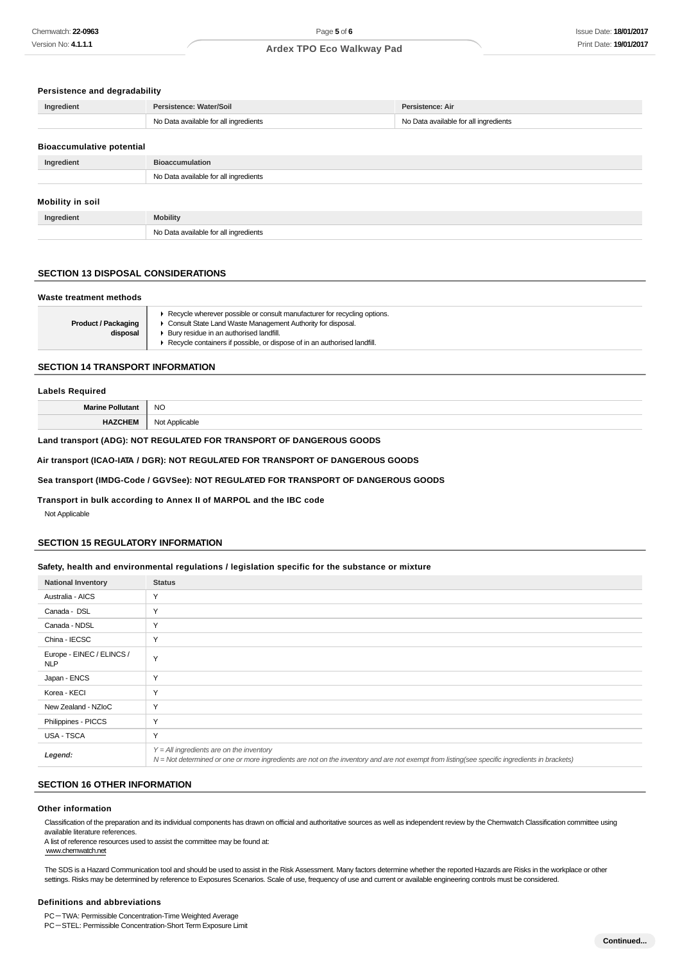#### **Persistence and degradability**

| Ingredient                       | Persistence: Water/Soil               | Persistence: Air                      |
|----------------------------------|---------------------------------------|---------------------------------------|
|                                  | No Data available for all ingredients | No Data available for all ingredients |
|                                  |                                       |                                       |
| <b>Bioaccumulative potential</b> |                                       |                                       |
| Ingredient                       | <b>Bioaccumulation</b>                |                                       |
|                                  | No Data available for all ingredients |                                       |
|                                  |                                       |                                       |
| Mobility in soil                 |                                       |                                       |
| Ingredient                       | <b>Mobility</b>                       |                                       |
|                                  | No Data available for all ingredients |                                       |

## **SECTION 13 DISPOSAL CONSIDERATIONS**

#### **Waste treatment methods**

| <b>Product / Packaging</b><br>disposal | ▶ Recycle wherever possible or consult manufacturer for recycling options.<br>Consult State Land Waste Management Authority for disposal.<br>Bury residue in an authorised landfill.<br>Recycle containers if possible, or dispose of in an authorised landfill. |
|----------------------------------------|------------------------------------------------------------------------------------------------------------------------------------------------------------------------------------------------------------------------------------------------------------------|
|----------------------------------------|------------------------------------------------------------------------------------------------------------------------------------------------------------------------------------------------------------------------------------------------------------------|

#### **SECTION 14 TRANSPORT INFORMATION**

| <b>Labels Required</b>  |                |
|-------------------------|----------------|
| <b>Marine Pollutant</b> | <b>NO</b>      |
| <b>HAZCHEM</b>          | Not Applicable |

### **Land transport (ADG): NOT REGULATED FOR TRANSPORT OF DANGEROUS GOODS**

#### **Air transport (ICAO-IATA / DGR): NOT REGULATED FOR TRANSPORT OF DANGEROUS GOODS**

### **Sea transport (IMDG-Code / GGVSee): NOT REGULATED FOR TRANSPORT OF DANGEROUS GOODS**

#### **Transport in bulk according to Annex II of MARPOL and the IBC code**

Not Applicable

## **SECTION 15 REGULATORY INFORMATION**

### **Safety, health and environmental regulations / legislation specific for the substance or mixture**

| <b>National Inventory</b>               | <b>Status</b>                                                                                                                                                                              |
|-----------------------------------------|--------------------------------------------------------------------------------------------------------------------------------------------------------------------------------------------|
| Australia - AICS                        | Y                                                                                                                                                                                          |
| Canada - DSL                            | $\checkmark$                                                                                                                                                                               |
| Canada - NDSL                           | Y                                                                                                                                                                                          |
| China - IECSC                           | Y                                                                                                                                                                                          |
| Europe - EINEC / ELINCS /<br><b>NLP</b> | Y                                                                                                                                                                                          |
| Japan - ENCS                            | Y                                                                                                                                                                                          |
| Korea - KECI                            | Y                                                                                                                                                                                          |
| New Zealand - NZIoC                     | Y                                                                                                                                                                                          |
| Philippines - PICCS                     | Y                                                                                                                                                                                          |
| USA - TSCA                              | Y                                                                                                                                                                                          |
| Legend:                                 | $Y = All$ ingredients are on the inventory<br>N = Not determined or one or more ingredients are not on the inventory and are not exempt from listing(see specific ingredients in brackets) |

#### **SECTION 16 OTHER INFORMATION**

#### **Other information**

Classification of the preparation and its individual components has drawn on official and authoritative sources as well as independent review by the Chemwatch Classification committee using available literature references.

A list of reference resources used to assist the committee may be found at: www.chemwatch.net

The SDS is a Hazard Communication tool and should be used to assist in the Risk Assessment. Many factors determine whether the reported Hazards are Risks in the workplace or other settings. Risks may be determined by reference to Exposures Scenarios. Scale of use, frequency of use and current or available engineering controls must be considered.

#### **Definitions and abbreviations**

PC-TWA: Permissible Concentration-Time Weighted Average

PC-STEL: Permissible Concentration-Short Term Exposure Limit